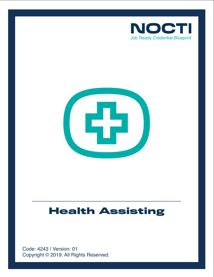



# **Health Assisting**

Copyright © 2019. All Rights Reserved. Code: 4243 / Version: 01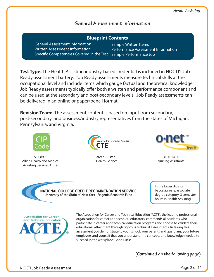## **General Assessment Information**

| <b>Blueprint Contents</b>                                                                                                                          |                                                       |
|----------------------------------------------------------------------------------------------------------------------------------------------------|-------------------------------------------------------|
| <b>General Assessment Information</b><br><b>Written Assessment Information</b><br>Specific Competencies Covered in the Test Sample Performance Job | Sample Written Items<br><b>Performance Assessment</b> |

**Test Type:** The Health Assisting industry-based credential is included in NOCTI's Job Ready assessment battery. Job Ready assessments measure technical skills at the occupational level and include items which gauge factual and theoretical knowledge. Job Ready assessments typically offer both a written and performance component and can be used at the secondary and post-secondary levels. Job Ready assessments can be delivered in an online or paper/pencil format.

**Revision Team:** The assessment content is based on input from secondary, post-secondary, and business/industry representatives from the states of Michigan, Pennsylvania, and Virginia.



51.0899 - Allied Health and Medical Assisting Services, Other



Career Cluster 8 - Health Science



31-1014.00 Nursing Assistants

t Information

NATIONAL COLLEGE CREDIT RECOMMENDATION SERVICE University of the State of New York - Regents Research Fund

In the lower division baccalaureate/associate degree category, 3 semester hours in Health Assisting



The Association for Career and Technical Education (ACTE), the leading professional organization for career and technical educators, commends all students who participate in career and technical education programs and choose to validate their educational attainment through rigorous technical assessments. In taking this assessment you demonstrate to your school, your parents and guardians, your future employers and yourself that you understand the concepts and knowledge needed to succeed in the workplace. Good Luck!

**(Continued on the following page)**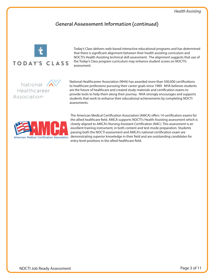# **General Assessment Information (continued)**



Today's Class delivers web-based interactive educational programs and has determined that there is significant alignment between their health assisting curriculum and NOCTI's Health Assisting technical skill assessment. The alignment suggests that use of the Today's Class program curriculum may enhance student scores on NOCTI's assessment.

National Healthcareer **Association**<sup>®</sup>

National Healthcareer Association (NHA) has awarded more than 500,000 certifications to healthcare professions pursuing their career goals since 1989. NHA believes students are the future of healthcare and created study materials and certification exams to provide tools to help them along their journey. NHA strongly encourages and supports students that work to enhance their educational achievements by completing NOCTI assessments.



The American Medical Certification Association (AMCA) offers 14 certification exams for the allied healthcare field. AMCA supports NOCTI's Health Assisting assessment which is closely aligned to AMCA's Nursing Assistant Certification (NAC). This assessment is an excellent training instrument, in both content and test-mode preparation. Students passing both the NOCTI assessment and AMCA's national certification exam are demonstrating superior knowledge in their field and are outstanding candidates for entry-level positions in the allied healthcare field.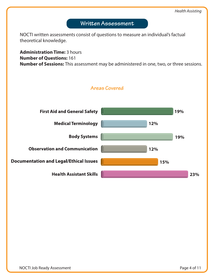

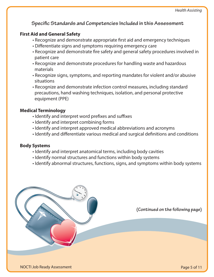**Specific Standards and Competencies Included in this Assessment** 

# **First Aid and General Safety**

- Recognize and demonstrate appropriate first aid and emergency techniques
- Differentiate signs and symptoms requiring emergency care
- Recognize and demonstrate fire safety and general safety procedures involved in patient care
- Recognize and demonstrate procedures for handling waste and hazardous materials
- Recognize signs, symptoms, and reporting mandates for violent and/or abusive situations
- Recognize and demonstrate infection control measures, including standard precautions, hand washing techniques, isolation, and personal protective equipment (PPE)

# **Medical Terminology**

- Identify and interpret word prefixes and suffixes
- Identify and interpret combining forms
- Identify and interpret approved medical abbreviations and acronyms
- Identify and differentiate various medical and surgical definitions and conditions

# **Body Systems**

- Identify and interpret anatomical terms, including body cavities
- Identify normal structures and functions within body systems
- Identify abnormal structures, functions, signs, and symptoms within body systems

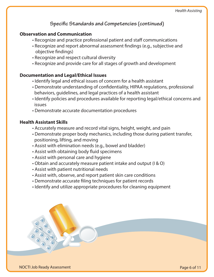# **Specific Standards and Competencies (continued)**

## **Observation and Communication**

- Recognize and practice professional patient and staff communications
- Recognize and report abnormal assessment findings (e.g., subjective and objective findings)
- Recognize and respect cultural diversity
- Recognize and provide care for all stages of growth and development

### **Documentation and Legal/Ethical Issues**

- Identify legal and ethical issues of concern for a health assistant
- Demonstrate understanding of confidentiality, HIPAA regulations, professional behaviors, guidelines, and legal practices of a health assistant
- Identify policies and procedures available for reporting legal/ethical concerns and issues
- Demonstrate accurate documentation procedures

## **Health Assistant Skills**

- Accurately measure and record vital signs, height, weight, and pain
- Demonstrate proper body mechanics, including those during patient transfer, positioning, lifting, and moving
- Assist with elimination needs (e.g., bowel and bladder)
- Assist with obtaining body fluid specimens
- Assist with personal care and hygiene
- Obtain and accurately measure patient intake and output (I & O)
- Assist with patient nutritional needs
- Assist with, observe, and report patient skin care conditions
- Demonstrate accurate filing techniques for patient records
- Identify and utilize appropriate procedures for cleaning equipment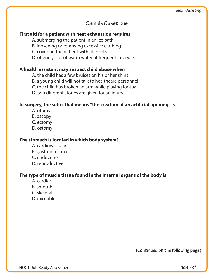# **Sample Questions**

#### **First aid for a patient with heat exhaustion requires**

A. submerging the patient in an ice bath

B. loosening or removing excessive clothing

C. covering the patient with blankets

D. offering sips of warm water at frequent intervals

### **A health assistant may suspect child abuse when**

A. the child has a few bruises on his or her shins

B. a young child will not talk to healthcare personnel

C. the child has broken an arm while playing football

D. two different stories are given for an injury

#### In surgery, the suffix that means "the creation of an artificial opening" is

A. otomy

B. oscopy

C. ectomy

D. ostomy

#### **The stomach is located in which body system?**

- A. cardiovascular
- B. gastrointestinal
- C. endocrine
- D. reproductive

#### **The type of muscle tissue found in the internal organs of the body is**

- A. cardiac
- B. smooth
- C. skeletal
- D. excitable

**(Continued on the following page)**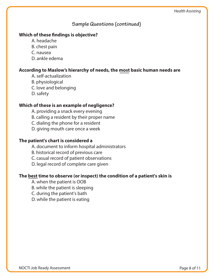## **Sample Questions (continued)**

#### **Which of these findings is objective?**

- A. headache
- B. chest pain
- C. nausea
- D. ankle edema

#### **According to Maslow's hierarchy of needs, the most basic human needs are**

- A. self-actualization
- B. physiological
- C. love and belonging
- D. safety

### **Which of these is an example of negligence?**

- A. providing a snack every evening
- B. calling a resident by their proper name
- C. dialing the phone for a resident
- D. giving mouth care once a week

### **The patient's chart is considered a**

- A. document to inform hospital administrators
- B. historical record of previous care
- C. casual record of patient observations
- D. legal record of complete care given

#### **The best time to observe (or inspect) the condition of a patient's skin is**

- A. when the patient is OOB
- B. while the patient is sleeping
- C. during the patient's bath
- D. while the patient is eating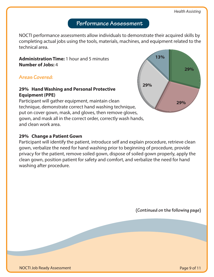# **Performance Assessment**

NOCTI performance assessments allow individuals to demonstrate their acquired skills by completing actual jobs using the tools, materials, machines, and equipment related to the technical area.

## **Administration Time:** 1 hour and 5 minutes **Number of Jobs:** 4

**Areas Covered:** 

## **29% Hand Washing and Personal Protective Equipment (PPE)**

Participant will gather equipment, maintain clean technique, demonstrate correct hand washing technique, put on cover gown, mask, and gloves, then remove gloves, gown, and mask all in the correct order, correctly wash hands, and clean work area.

## **29% Change a Patient Gown**

Participant will identify the patient, introduce self and explain procedure, retrieve clean gown, verbalize the need for hand washing prior to beginning of procedure, provide privacy for the patient, remove soiled gown, dispose of soiled gown properly, apply the clean gown, position patient for safety and comfort, and verbalize the need for hand washing after procedure.

**(Continued on the following page)**

NOCTI Job Ready Assessment

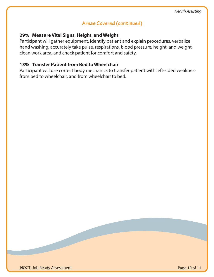# **Areas Covered (continued)**

#### **29% Measure Vital Signs, Height, and Weight**

Participant will gather equipment, identify patient and explain procedures, verbalize hand washing, accurately take pulse, respirations, blood pressure, height, and weight, clean work area, and check patient for comfort and safety.

### **13% Transfer Patient from Bed to Wheelchair**

Participant will use correct body mechanics to transfer patient with left-sided weakness from bed to wheelchair, and from wheelchair to bed.